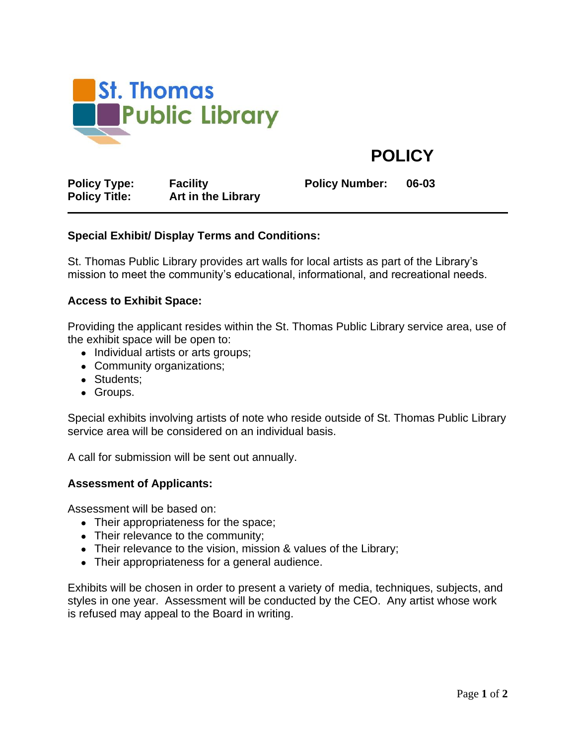

**POLICY**

**Policy Type: Facility Policy Number: 06-03 Policy Title: Art in the Library**

# **Special Exhibit/ Display Terms and Conditions:**

St. Thomas Public Library provides art walls for local artists as part of the Library's mission to meet the community's educational, informational, and recreational needs.

## **Access to Exhibit Space:**

Providing the applicant resides within the St. Thomas Public Library service area, use of the exhibit space will be open to:

- Individual artists or arts groups;
- Community organizations;
- Students:
- Groups.

Special exhibits involving artists of note who reside outside of St. Thomas Public Library service area will be considered on an individual basis.

A call for submission will be sent out annually.

### **Assessment of Applicants:**

Assessment will be based on:

- Their appropriateness for the space;
- Their relevance to the community;
- Their relevance to the vision, mission & values of the Library;
- Their appropriateness for a general audience.

Exhibits will be chosen in order to present a variety of media, techniques, subjects, and styles in one year. Assessment will be conducted by the CEO. Any artist whose work is refused may appeal to the Board in writing.